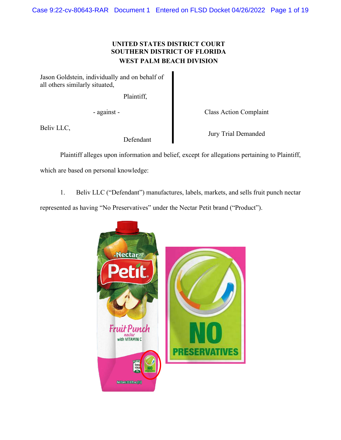# **UNITED STATES DISTRICT COURT SOUTHERN DISTRICT OF FLORIDA WEST PALM BEACH DIVISION**

Jason Goldstein, individually and on behalf of all others similarly situated,

Plaintiff,

- against - Class Action Complaint

Beliv LLC,

Defendant

Jury Trial Demanded

Plaintiff alleges upon information and belief, except for allegations pertaining to Plaintiff,

which are based on personal knowledge:

1. Beliv LLC ("Defendant") manufactures, labels, markets, and sells fruit punch nectar

represented as having "No Preservatives" under the Nectar Petit brand ("Product").

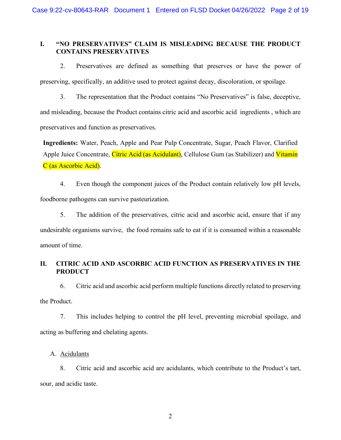## **I. "NO PRESERVATIVES" CLAIM IS MISLEADING BECAUSE THE PRODUCT CONTAINS PRESERVATIVES**

2. Preservatives are defined as something that preserves or have the power of preserving, specifically, an additive used to protect against decay, discoloration, or spoilage.

3. The representation that the Product contains "No Preservatives" is false, deceptive, and misleading, because the Product contains citric acid and ascorbic acid ingredients , which are preservatives and function as preservatives.

**Ingredients:** Water, Peach, Apple and Pear Pulp Concentrate, Sugar, Peach Flavor, Clarified Apple Juice Concentrate, Citric Acid (as Acidulant), Cellulose Gum (as Stabilizer) and Vitamin C (as Ascorbic Acid).

4. Even though the component juices of the Product contain relatively low pH levels, foodborne pathogens can survive pasteurization.

5. The addition of the preservatives, citric acid and ascorbic acid, ensure that if any undesirable organisms survive, the food remains safe to eat if it is consumed within a reasonable amount of time.

# **II. CITRIC ACID AND ASCORBIC ACID FUNCTION AS PRESERVATIVES IN THE PRODUCT**

6. Citric acid and ascorbic acid perform multiple functions directly related to preserving the Product.

7. This includes helping to control the pH level, preventing microbial spoilage, and acting as buffering and chelating agents.

# A. Acidulants

8. Citric acid and ascorbic acid are acidulants, which contribute to the Product's tart, sour, and acidic taste.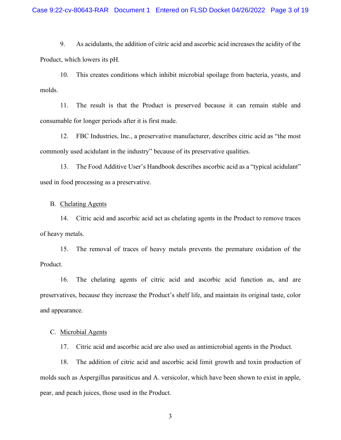9. As acidulants, the addition of citric acid and ascorbic acid increases the acidity of the Product, which lowers its pH.

10. This creates conditions which inhibit microbial spoilage from bacteria, yeasts, and molds.

11. The result is that the Product is preserved because it can remain stable and consumable for longer periods after it is first made.

12. FBC Industries, Inc., a preservative manufacturer, describes citric acid as "the most commonly used acidulant in the industry" because of its preservative qualities.

13. The Food Additive User's Handbook describes ascorbic acid as a "typical acidulant" used in food processing as a preservative.

## B. Chelating Agents

14. Citric acid and ascorbic acid act as chelating agents in the Product to remove traces of heavy metals.

15. The removal of traces of heavy metals prevents the premature oxidation of the Product.

16. The chelating agents of citric acid and ascorbic acid function as, and are preservatives, because they increase the Product's shelf life, and maintain its original taste, color and appearance.

### C. Microbial Agents

17. Citric acid and ascorbic acid are also used as antimicrobial agents in the Product.

18. The addition of citric acid and ascorbic acid limit growth and toxin production of molds such as Aspergillus parasiticus and A. versicolor, which have been shown to exist in apple, pear, and peach juices, those used in the Product.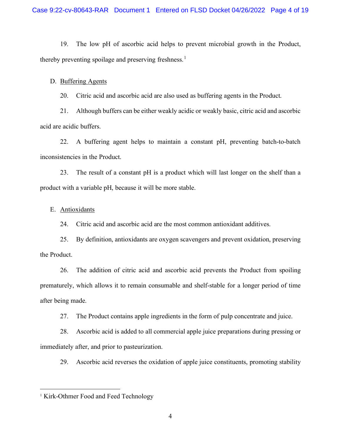19. The low pH of ascorbic acid helps to prevent microbial growth in the Product, thereby preventing spoilage and preserving freshness.<sup>[1](#page-3-0)</sup>

### D. Buffering Agents

20. Citric acid and ascorbic acid are also used as buffering agents in the Product.

21. Although buffers can be either weakly acidic or weakly basic, citric acid and ascorbic acid are acidic buffers.

22. A buffering agent helps to maintain a constant pH, preventing batch-to-batch inconsistencies in the Product.

23. The result of a constant pH is a product which will last longer on the shelf than a product with a variable pH, because it will be more stable.

## E. Antioxidants

24. Citric acid and ascorbic acid are the most common antioxidant additives.

25. By definition, antioxidants are oxygen scavengers and prevent oxidation, preserving the Product.

26. The addition of citric acid and ascorbic acid prevents the Product from spoiling prematurely, which allows it to remain consumable and shelf-stable for a longer period of time after being made.

27. The Product contains apple ingredients in the form of pulp concentrate and juice.

28. Ascorbic acid is added to all commercial apple juice preparations during pressing or immediately after, and prior to pasteurization.

29. Ascorbic acid reverses the oxidation of apple juice constituents, promoting stability

<span id="page-3-0"></span><sup>&</sup>lt;sup>1</sup> Kirk-Othmer Food and Feed Technology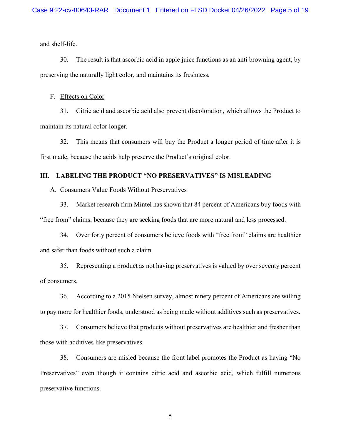and shelf-life.

30. The result is that ascorbic acid in apple juice functions as an anti browning agent, by preserving the naturally light color, and maintains its freshness.

#### F. Effects on Color

31. Citric acid and ascorbic acid also prevent discoloration, which allows the Product to maintain its natural color longer.

32. This means that consumers will buy the Product a longer period of time after it is first made, because the acids help preserve the Product's original color.

## **III. LABELING THE PRODUCT "NO PRESERVATIVES" IS MISLEADING**

## A. Consumers Value Foods Without Preservatives

33. Market research firm Mintel has shown that 84 percent of Americans buy foods with "free from" claims, because they are seeking foods that are more natural and less processed.

34. Over forty percent of consumers believe foods with "free from" claims are healthier and safer than foods without such a claim.

35. Representing a product as not having preservatives is valued by over seventy percent of consumers.

36. According to a 2015 Nielsen survey, almost ninety percent of Americans are willing to pay more for healthier foods, understood as being made without additives such as preservatives.

37. Consumers believe that products without preservatives are healthier and fresher than those with additives like preservatives.

38. Consumers are misled because the front label promotes the Product as having "No Preservatives" even though it contains citric acid and ascorbic acid, which fulfill numerous preservative functions.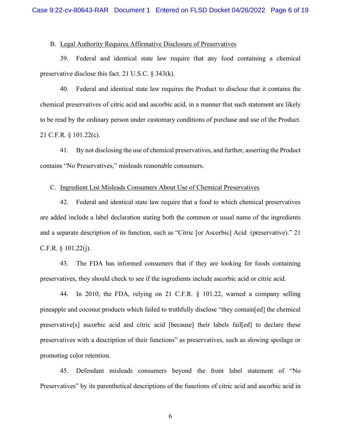## B. Legal Authority Requires Affirmative Disclosure of Preservatives

39. Federal and identical state law require that any food containing a chemical preservative disclose this fact. 21 U.S.C. § 343(k).

40. Federal and identical state law requires the Product to disclose that it contains the chemical preservatives of citric acid and ascorbic acid, in a manner that such statement are likely to be read by the ordinary person under customary conditions of purchase and use of the Product. 21 C.F.R. § 101.22(c).

41. By not disclosing the use of chemical preservatives, and further, asserting the Product contains "No Preservatives," misleads reasonable consumers.

## C. Ingredient List Misleads Consumers About Use of Chemical Preservatives

42. Federal and identical state law require that a food to which chemical preservatives are added include a label declaration stating both the common or usual name of the ingredients and a separate description of its function, such as "Citric [or Ascorbic] Acid (preservative)." 21 C.F.R.  $\S$  101.22(j).

43. The FDA has informed consumers that if they are looking for foods containing preservatives, they should check to see if the ingredients include ascorbic acid or citric acid.

44. In 2010, the FDA, relying on 21 C.F.R. § 101.22, warned a company selling pineapple and coconut products which failed to truthfully disclose "they contain[ed] the chemical preservative[s] ascorbic acid and citric acid [because] their labels fail[ed] to declare these preservatives with a description of their functions" as preservatives, such as slowing spoilage or promoting color retention.

45. Defendant misleads consumers beyond the front label statement of "No Preservatives" by its parenthetical descriptions of the functions of citric acid and ascorbic acid in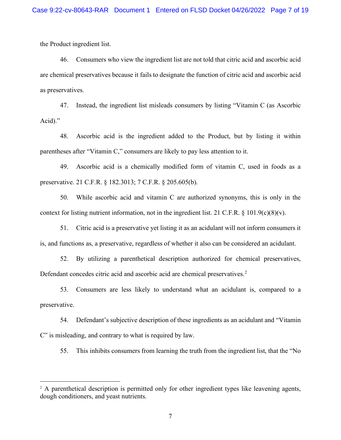the Product ingredient list.

46. Consumers who view the ingredient list are not told that citric acid and ascorbic acid are chemical preservatives because it fails to designate the function of citric acid and ascorbic acid as preservatives.

47. Instead, the ingredient list misleads consumers by listing "Vitamin C (as Ascorbic Acid)."

48. Ascorbic acid is the ingredient added to the Product, but by listing it within parentheses after "Vitamin C," consumers are likely to pay less attention to it.

49. Ascorbic acid is a chemically modified form of vitamin C, used in foods as a preservative. 21 C.F.R. § 182.3013; 7 C.F.R. § 205.605(b).

50. While ascorbic acid and vitamin C are authorized synonyms, this is only in the context for listing nutrient information, not in the ingredient list. 21 C.F.R.  $\S$  101.9(c)(8)(v).

51. Citric acid is a preservative yet listing it as an acidulant will not inform consumers it is, and functions as, a preservative, regardless of whether it also can be considered an acidulant.

52. By utilizing a parenthetical description authorized for chemical preservatives, Defendant concedes citric acid and ascorbic acid are chemical preservatives.<sup>[2](#page-6-0)</sup>

53. Consumers are less likely to understand what an acidulant is, compared to a preservative.

54. Defendant's subjective description of these ingredients as an acidulant and "Vitamin C" is misleading, and contrary to what is required by law.

55. This inhibits consumers from learning the truth from the ingredient list, that the "No

<span id="page-6-0"></span><sup>&</sup>lt;sup>2</sup> A parenthetical description is permitted only for other ingredient types like leavening agents, dough conditioners, and yeast nutrients.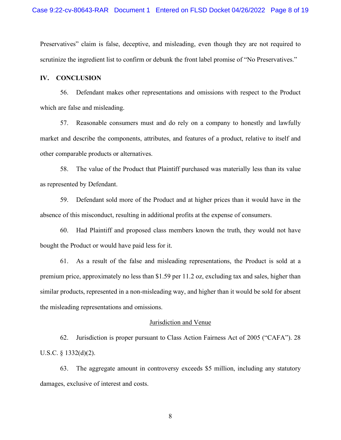Preservatives" claim is false, deceptive, and misleading, even though they are not required to scrutinize the ingredient list to confirm or debunk the front label promise of "No Preservatives."

## **IV. CONCLUSION**

56. Defendant makes other representations and omissions with respect to the Product which are false and misleading.

57. Reasonable consumers must and do rely on a company to honestly and lawfully market and describe the components, attributes, and features of a product, relative to itself and other comparable products or alternatives.

58. The value of the Product that Plaintiff purchased was materially less than its value as represented by Defendant.

59. Defendant sold more of the Product and at higher prices than it would have in the absence of this misconduct, resulting in additional profits at the expense of consumers.

60. Had Plaintiff and proposed class members known the truth, they would not have bought the Product or would have paid less for it.

61. As a result of the false and misleading representations, the Product is sold at a premium price, approximately no less than \$1.59 per 11.2 oz, excluding tax and sales, higher than similar products, represented in a non-misleading way, and higher than it would be sold for absent the misleading representations and omissions.

#### Jurisdiction and Venue

62. Jurisdiction is proper pursuant to Class Action Fairness Act of 2005 ("CAFA"). 28 U.S.C. § 1332(d)(2).

63. The aggregate amount in controversy exceeds \$5 million, including any statutory damages, exclusive of interest and costs.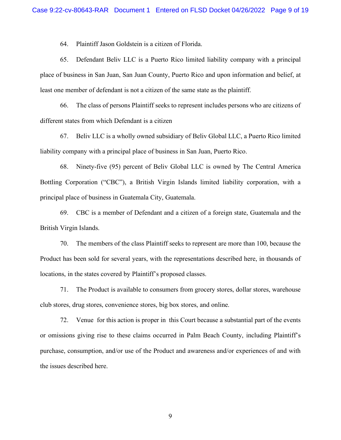64. Plaintiff Jason Goldstein is a citizen of Florida.

65. Defendant Beliv LLC is a Puerto Rico limited liability company with a principal place of business in San Juan, San Juan County, Puerto Rico and upon information and belief, at least one member of defendant is not a citizen of the same state as the plaintiff.

66. The class of persons Plaintiff seeks to represent includes persons who are citizens of different states from which Defendant is a citizen

67. Beliv LLC is a wholly owned subsidiary of Beliv Global LLC, a Puerto Rico limited liability company with a principal place of business in San Juan, Puerto Rico.

68. Ninety-five (95) percent of Beliv Global LLC is owned by The Central America Bottling Corporation ("CBC"), a British Virgin Islands limited liability corporation, with a principal place of business in Guatemala City, Guatemala.

69. CBC is a member of Defendant and a citizen of a foreign state, Guatemala and the British Virgin Islands.

70. The members of the class Plaintiff seeks to represent are more than 100, because the Product has been sold for several years, with the representations described here, in thousands of locations, in the states covered by Plaintiff's proposed classes.

71. The Product is available to consumers from grocery stores, dollar stores, warehouse club stores, drug stores, convenience stores, big box stores, and online.

72. Venue for this action is proper in this Court because a substantial part of the events or omissions giving rise to these claims occurred in Palm Beach County, including Plaintiff's purchase, consumption, and/or use of the Product and awareness and/or experiences of and with the issues described here.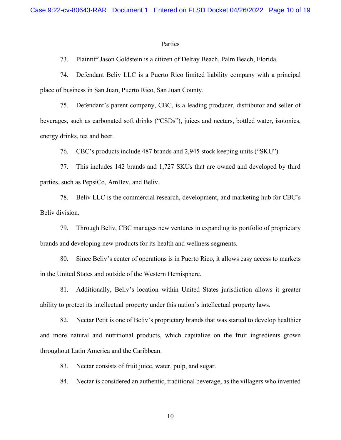#### **Parties**

73. Plaintiff Jason Goldstein is a citizen of Delray Beach, Palm Beach, Florida.

74. Defendant Beliv LLC is a Puerto Rico limited liability company with a principal place of business in San Juan, Puerto Rico, San Juan County.

75. Defendant's parent company, CBC, is a leading producer, distributor and seller of beverages, such as carbonated soft drinks ("CSDs"), juices and nectars, bottled water, isotonics, energy drinks, tea and beer.

76. CBC's products include 487 brands and 2,945 stock keeping units ("SKU").

77. This includes 142 brands and 1,727 SKUs that are owned and developed by third parties, such as PepsiCo, AmBev, and Beliv.

78. Beliv LLC is the commercial research, development, and marketing hub for CBC's Beliv division.

79. Through Beliv, CBC manages new ventures in expanding its portfolio of proprietary brands and developing new products for its health and wellness segments.

80. Since Beliv's center of operations is in Puerto Rico, it allows easy access to markets in the United States and outside of the Western Hemisphere.

81. Additionally, Beliv's location within United States jurisdiction allows it greater ability to protect its intellectual property under this nation's intellectual property laws.

82. Nectar Petit is one of Beliv's proprietary brands that was started to develop healthier and more natural and nutritional products, which capitalize on the fruit ingredients grown throughout Latin America and the Caribbean.

83. Nectar consists of fruit juice, water, pulp, and sugar.

84. Nectar is considered an authentic, traditional beverage, as the villagers who invented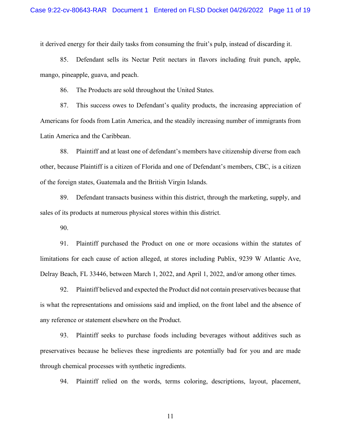it derived energy for their daily tasks from consuming the fruit's pulp, instead of discarding it.

85. Defendant sells its Nectar Petit nectars in flavors including fruit punch, apple, mango, pineapple, guava, and peach.

86. The Products are sold throughout the United States.

87. This success owes to Defendant's quality products, the increasing appreciation of Americans for foods from Latin America, and the steadily increasing number of immigrants from Latin America and the Caribbean.

88. Plaintiff and at least one of defendant's members have citizenship diverse from each other, because Plaintiff is a citizen of Florida and one of Defendant's members, CBC, is a citizen of the foreign states, Guatemala and the British Virgin Islands.

89. Defendant transacts business within this district, through the marketing, supply, and sales of its products at numerous physical stores within this district.

90.

91. Plaintiff purchased the Product on one or more occasions within the statutes of limitations for each cause of action alleged, at stores including Publix, 9239 W Atlantic Ave, Delray Beach, FL 33446, between March 1, 2022, and April 1, 2022, and/or among other times.

92. Plaintiff believed and expected the Product did not contain preservatives because that is what the representations and omissions said and implied, on the front label and the absence of any reference or statement elsewhere on the Product.

93. Plaintiff seeks to purchase foods including beverages without additives such as preservatives because he believes these ingredients are potentially bad for you and are made through chemical processes with synthetic ingredients.

94. Plaintiff relied on the words, terms coloring, descriptions, layout, placement,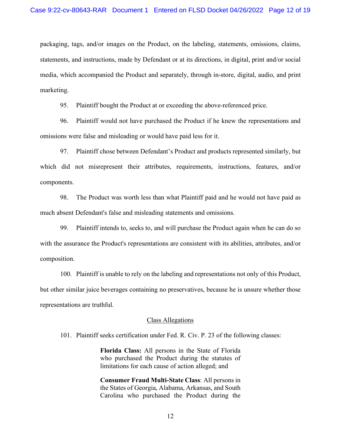packaging, tags, and/or images on the Product, on the labeling, statements, omissions, claims, statements, and instructions, made by Defendant or at its directions, in digital, print and/or social media, which accompanied the Product and separately, through in-store, digital, audio, and print marketing.

95. Plaintiff bought the Product at or exceeding the above-referenced price.

96. Plaintiff would not have purchased the Product if he knew the representations and omissions were false and misleading or would have paid less for it.

97. Plaintiff chose between Defendant's Product and products represented similarly, but which did not misrepresent their attributes, requirements, instructions, features, and/or components.

98. The Product was worth less than what Plaintiff paid and he would not have paid as much absent Defendant's false and misleading statements and omissions.

99. Plaintiff intends to, seeks to, and will purchase the Product again when he can do so with the assurance the Product's representations are consistent with its abilities, attributes, and/or composition.

100. Plaintiff is unable to rely on the labeling and representations not only of this Product, but other similar juice beverages containing no preservatives, because he is unsure whether those representations are truthful.

#### Class Allegations

101. Plaintiff seeks certification under Fed. R. Civ. P. 23 of the following classes:

**Florida Class:** All persons in the State of Florida who purchased the Product during the statutes of limitations for each cause of action alleged; and

**Consumer Fraud Multi-State Class**: All persons in the States of Georgia, Alabama, Arkansas, and South Carolina who purchased the Product during the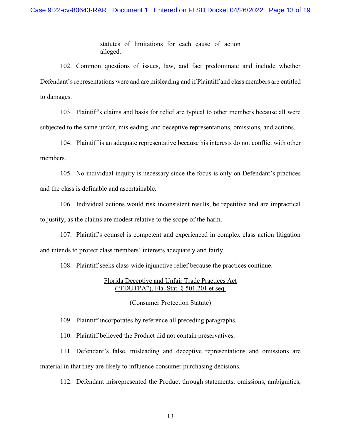statutes of limitations for each cause of action alleged.

102. Common questions of issues, law, and fact predominate and include whether Defendant's representations were and are misleading and if Plaintiff and class members are entitled to damages.

103. Plaintiff's claims and basis for relief are typical to other members because all were subjected to the same unfair, misleading, and deceptive representations, omissions, and actions.

104. Plaintiff is an adequate representative because his interests do not conflict with other members.

105. No individual inquiry is necessary since the focus is only on Defendant's practices and the class is definable and ascertainable.

106. Individual actions would risk inconsistent results, be repetitive and are impractical to justify, as the claims are modest relative to the scope of the harm.

107. Plaintiff's counsel is competent and experienced in complex class action litigation and intends to protect class members' interests adequately and fairly.

108. Plaintiff seeks class-wide injunctive relief because the practices continue.

## Florida Deceptive and Unfair Trade Practices Act ("FDUTPA"), Fla. Stat. § 501.201 et seq.

### (Consumer Protection Statute)

109. Plaintiff incorporates by reference all preceding paragraphs.

110. Plaintiff believed the Product did not contain preservatives.

111. Defendant's false, misleading and deceptive representations and omissions are material in that they are likely to influence consumer purchasing decisions.

112. Defendant misrepresented the Product through statements, omissions, ambiguities,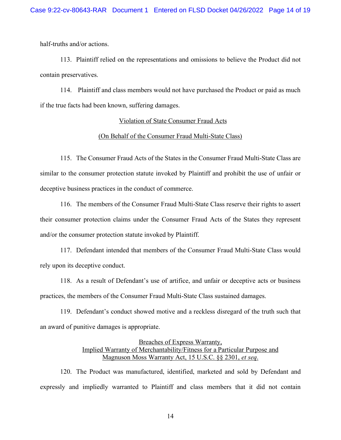half-truths and/or actions.

113. Plaintiff relied on the representations and omissions to believe the Product did not contain preservatives.

114. Plaintiff and class members would not have purchased the Product or paid as much if the true facts had been known, suffering damages.

#### Violation of State Consumer Fraud Acts

#### (On Behalf of the Consumer Fraud Multi-State Class)

115. The Consumer Fraud Acts of the States in the Consumer Fraud Multi-State Class are similar to the consumer protection statute invoked by Plaintiff and prohibit the use of unfair or deceptive business practices in the conduct of commerce.

116. The members of the Consumer Fraud Multi-State Class reserve their rights to assert their consumer protection claims under the Consumer Fraud Acts of the States they represent and/or the consumer protection statute invoked by Plaintiff.

117. Defendant intended that members of the Consumer Fraud Multi-State Class would rely upon its deceptive conduct.

118. As a result of Defendant's use of artifice, and unfair or deceptive acts or business practices, the members of the Consumer Fraud Multi-State Class sustained damages.

119. Defendant's conduct showed motive and a reckless disregard of the truth such that an award of punitive damages is appropriate.

## Breaches of Express Warranty, Implied Warranty of Merchantability/Fitness for a Particular Purpose and Magnuson Moss Warranty Act, 15 U.S.C. §§ 2301, *et seq*.

120. The Product was manufactured, identified, marketed and sold by Defendant and expressly and impliedly warranted to Plaintiff and class members that it did not contain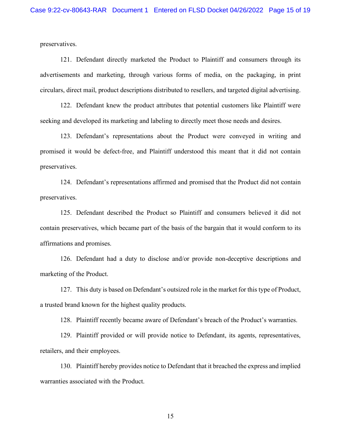preservatives.

121. Defendant directly marketed the Product to Plaintiff and consumers through its advertisements and marketing, through various forms of media, on the packaging, in print circulars, direct mail, product descriptions distributed to resellers, and targeted digital advertising.

122. Defendant knew the product attributes that potential customers like Plaintiff were seeking and developed its marketing and labeling to directly meet those needs and desires.

123. Defendant's representations about the Product were conveyed in writing and promised it would be defect-free, and Plaintiff understood this meant that it did not contain preservatives.

124. Defendant's representations affirmed and promised that the Product did not contain preservatives.

125. Defendant described the Product so Plaintiff and consumers believed it did not contain preservatives, which became part of the basis of the bargain that it would conform to its affirmations and promises.

126. Defendant had a duty to disclose and/or provide non-deceptive descriptions and marketing of the Product.

127. This duty is based on Defendant's outsized role in the market for this type of Product, a trusted brand known for the highest quality products.

128. Plaintiff recently became aware of Defendant's breach of the Product's warranties.

129. Plaintiff provided or will provide notice to Defendant, its agents, representatives, retailers, and their employees.

130. Plaintiff hereby provides notice to Defendant that it breached the express and implied warranties associated with the Product.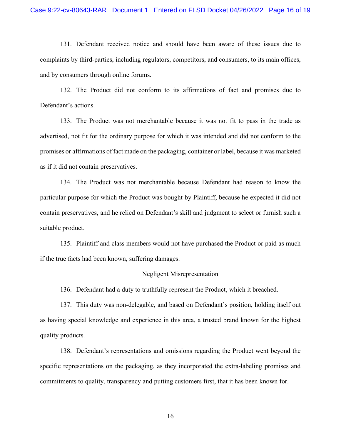131. Defendant received notice and should have been aware of these issues due to complaints by third-parties, including regulators, competitors, and consumers, to its main offices, and by consumers through online forums.

132. The Product did not conform to its affirmations of fact and promises due to Defendant's actions.

133. The Product was not merchantable because it was not fit to pass in the trade as advertised, not fit for the ordinary purpose for which it was intended and did not conform to the promises or affirmations of fact made on the packaging, container or label, because it was marketed as if it did not contain preservatives.

134. The Product was not merchantable because Defendant had reason to know the particular purpose for which the Product was bought by Plaintiff, because he expected it did not contain preservatives, and he relied on Defendant's skill and judgment to select or furnish such a suitable product.

135. Plaintiff and class members would not have purchased the Product or paid as much if the true facts had been known, suffering damages.

#### Negligent Misrepresentation

136. Defendant had a duty to truthfully represent the Product, which it breached.

137. This duty was non-delegable, and based on Defendant's position, holding itself out as having special knowledge and experience in this area, a trusted brand known for the highest quality products.

138. Defendant's representations and omissions regarding the Product went beyond the specific representations on the packaging, as they incorporated the extra-labeling promises and commitments to quality, transparency and putting customers first, that it has been known for.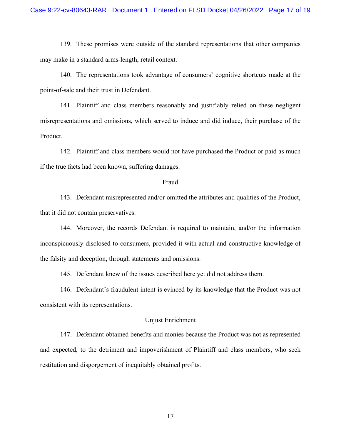139. These promises were outside of the standard representations that other companies may make in a standard arms-length, retail context.

140. The representations took advantage of consumers' cognitive shortcuts made at the point-of-sale and their trust in Defendant.

141. Plaintiff and class members reasonably and justifiably relied on these negligent misrepresentations and omissions, which served to induce and did induce, their purchase of the Product.

142. Plaintiff and class members would not have purchased the Product or paid as much if the true facts had been known, suffering damages.

#### Fraud

143. Defendant misrepresented and/or omitted the attributes and qualities of the Product, that it did not contain preservatives.

144. Moreover, the records Defendant is required to maintain, and/or the information inconspicuously disclosed to consumers, provided it with actual and constructive knowledge of the falsity and deception, through statements and omissions.

145. Defendant knew of the issues described here yet did not address them.

146. Defendant's fraudulent intent is evinced by its knowledge that the Product was not consistent with its representations.

## Unjust Enrichment

147. Defendant obtained benefits and monies because the Product was not as represented and expected, to the detriment and impoverishment of Plaintiff and class members, who seek restitution and disgorgement of inequitably obtained profits.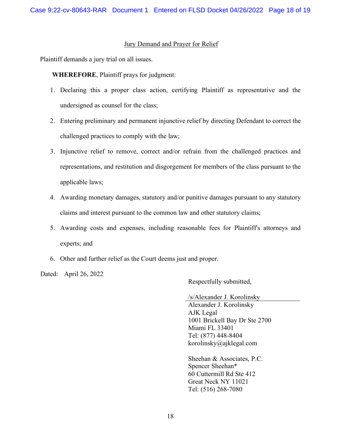## Jury Demand and Prayer for Relief

Plaintiff demands a jury trial on all issues.

**WHEREFORE**, Plaintiff prays for judgment:

- 1. Declaring this a proper class action, certifying Plaintiff as representative and the undersigned as counsel for the class;
- 2. Entering preliminary and permanent injunctive relief by directing Defendant to correct the challenged practices to comply with the law;
- 3. Injunctive relief to remove, correct and/or refrain from the challenged practices and representations, and restitution and disgorgement for members of the class pursuant to the applicable laws;
- 4. Awarding monetary damages, statutory and/or punitive damages pursuant to any statutory claims and interest pursuant to the common law and other statutory claims;
- 5. Awarding costs and expenses, including reasonable fees for Plaintiff's attorneys and experts; and
- 6. Other and further relief as the Court deems just and proper.

Dated: April 26, 2022

Respectfully submitted,

/s/Alexander J. Korolinsky

Alexander J. Korolinsky AJK Legal 1001 Brickell Bay Dr Ste 2700 Miami FL 33401 Tel: (877) 448-8404 korolinsky@ajklegal.com

Sheehan & Associates, P.C. Spencer Sheehan\* 60 Cuttermill Rd Ste 412 Great Neck NY 11021 Tel: (516) 268-7080